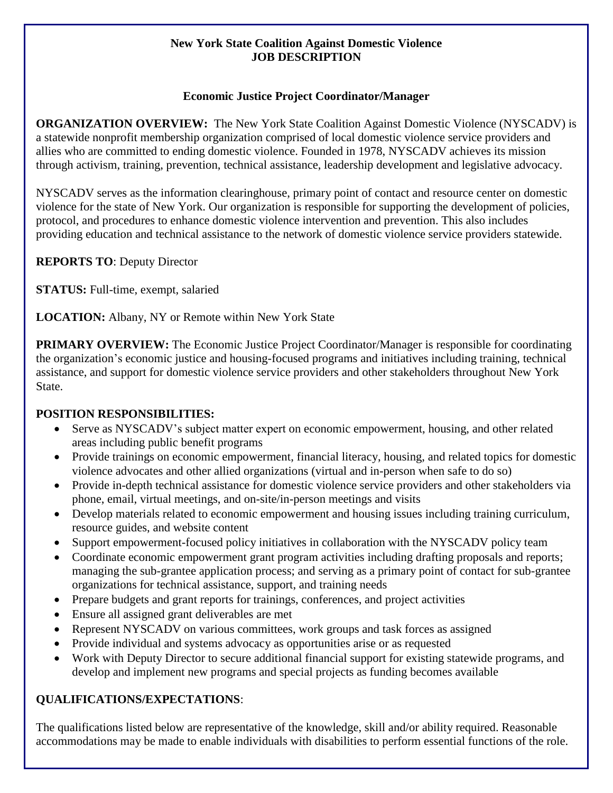#### **New York State Coalition Against Domestic Violence JOB DESCRIPTION**

### **Economic Justice Project Coordinator/Manager**

**ORGANIZATION OVERVIEW:** The New York State Coalition Against Domestic Violence (NYSCADV) is a statewide nonprofit membership organization comprised of local domestic violence service providers and allies who are committed to ending domestic violence. Founded in 1978, NYSCADV achieves its mission through activism, training, prevention, technical assistance, leadership development and legislative advocacy.

NYSCADV serves as the information clearinghouse, primary point of contact and resource center on domestic violence for the state of New York. Our organization is responsible for supporting the development of policies, protocol, and procedures to enhance domestic violence intervention and prevention. This also includes providing education and technical assistance to the network of domestic violence service providers statewide.

**REPORTS TO**: Deputy Director

**STATUS:** Full-time, exempt, salaried

**LOCATION:** Albany, NY or Remote within New York State

**PRIMARY OVERVIEW:** The Economic Justice Project Coordinator/Manager is responsible for coordinating the organization's economic justice and housing-focused programs and initiatives including training, technical assistance, and support for domestic violence service providers and other stakeholders throughout New York State.

# **POSITION RESPONSIBILITIES:**

- Serve as NYSCADV's subject matter expert on economic empowerment, housing, and other related areas including public benefit programs
- Provide trainings on economic empowerment, financial literacy, housing, and related topics for domestic violence advocates and other allied organizations (virtual and in-person when safe to do so)
- Provide in-depth technical assistance for domestic violence service providers and other stakeholders via phone, email, virtual meetings, and on-site/in-person meetings and visits
- Develop materials related to economic empowerment and housing issues including training curriculum, resource guides, and website content
- Support empowerment-focused policy initiatives in collaboration with the NYSCADV policy team
- Coordinate economic empowerment grant program activities including drafting proposals and reports; managing the sub-grantee application process; and serving as a primary point of contact for sub-grantee organizations for technical assistance, support, and training needs
- Prepare budgets and grant reports for trainings, conferences, and project activities
- Ensure all assigned grant deliverables are met
- Represent NYSCADV on various committees, work groups and task forces as assigned
- Provide individual and systems advocacy as opportunities arise or as requested
- Work with Deputy Director to secure additional financial support for existing statewide programs, and develop and implement new programs and special projects as funding becomes available

# **QUALIFICATIONS/EXPECTATIONS**:

The qualifications listed below are representative of the knowledge, skill and/or ability required. Reasonable accommodations may be made to enable individuals with disabilities to perform essential functions of the role.